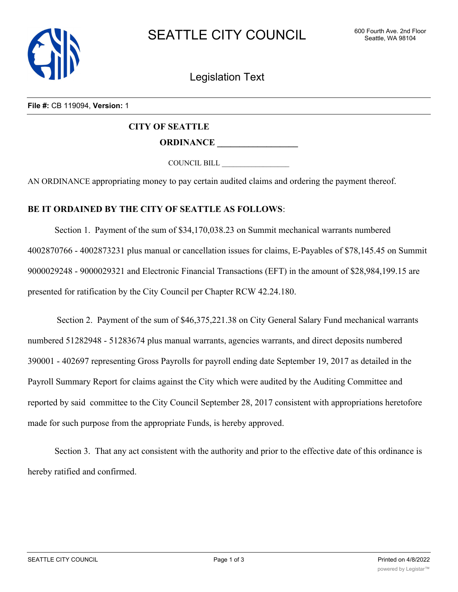

Legislation Text

## **File #:** CB 119094, **Version:** 1

## **CITY OF SEATTLE**

**ORDINANCE \_\_\_\_\_\_\_\_\_\_\_\_\_\_\_\_\_\_**

COUNCIL BILL \_\_\_\_\_\_\_\_\_\_\_\_\_\_\_\_\_\_

AN ORDINANCE appropriating money to pay certain audited claims and ordering the payment thereof.

## **BE IT ORDAINED BY THE CITY OF SEATTLE AS FOLLOWS**:

Section 1. Payment of the sum of \$34,170,038.23 on Summit mechanical warrants numbered 4002870766 - 4002873231 plus manual or cancellation issues for claims, E-Payables of \$78,145.45 on Summit 9000029248 - 9000029321 and Electronic Financial Transactions (EFT) in the amount of \$28,984,199.15 are presented for ratification by the City Council per Chapter RCW 42.24.180.

 Section 2. Payment of the sum of \$46,375,221.38 on City General Salary Fund mechanical warrants numbered 51282948 - 51283674 plus manual warrants, agencies warrants, and direct deposits numbered 390001 - 402697 representing Gross Payrolls for payroll ending date September 19, 2017 as detailed in the Payroll Summary Report for claims against the City which were audited by the Auditing Committee and reported by said committee to the City Council September 28, 2017 consistent with appropriations heretofore made for such purpose from the appropriate Funds, is hereby approved.

Section 3. That any act consistent with the authority and prior to the effective date of this ordinance is hereby ratified and confirmed.